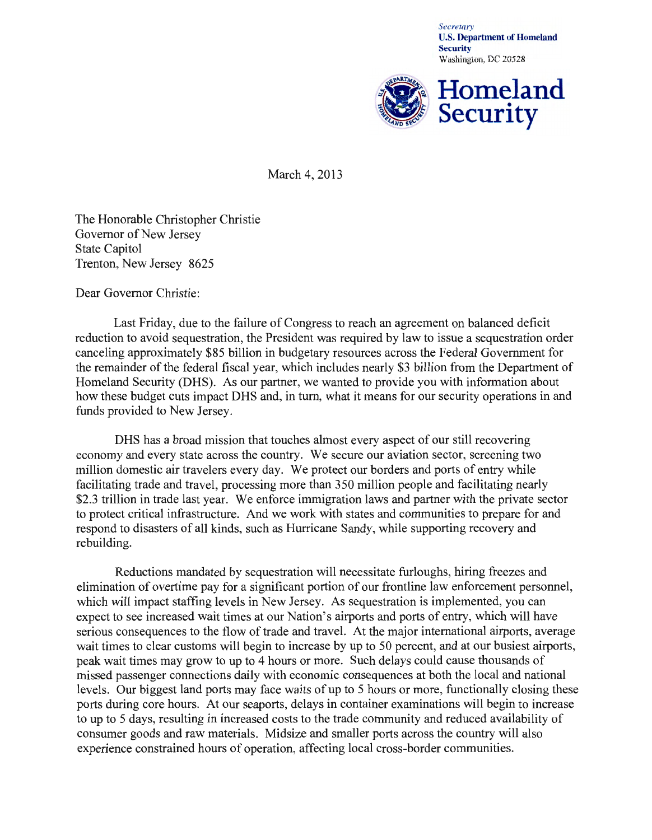*Secretary*  U.S. Department of Homeland **Security** Washington, DC 20528



March 4, 2013

The Honorable Christopher Christie Governor of New Jersey State Capitol Trenton, New Jersey 8625

Dear Governor Christie:

Last Friday, due to the failure of Congress to reach an agreement on balanced deficit reduction to avoid sequestration, the President was required by law to issue a sequestration order canceling approximately \$85 billion in budgetary resources across the Federal Government for the remainder of the federal fiscal year, which includes nearly \$3 billion from the Department of Homeland Security (DHS). As our partner, we wanted to provide you with information about how these budget cuts impact DHS and, in tum, what it means for our security operations in and funds provided to New Jersey.

DHS has a broad mission that touches almost every aspect of our still recovering economy and every state across the country. We secure our aviation sector, screening two million domestic air travelers every day. We protect our borders and ports of entry while facilitating trade and travel, processing more than 350 million people and facilitating nearly \$2.3 trillion in trade last year. We enforce immigration laws and partner with the private sector to protect critical infrastructure. And we work with states and communities to prepare for and respond to disasters of all kinds, such as Hurricane Sandy, while supporting recovery and rebuilding.

Reductions mandated by sequestration will necessitate furloughs, hiring freezes and elimination of overtime pay for a significant portion of our frontline law enforcement personnel, which will impact staffing levels in New Jersey. As sequestration is implemented, you can expect to see increased wait times at our Nation's airports and ports of entry, which will have serious consequences to the flow of trade and travel. At the major international airports, average wait times to clear customs will begin to increase by up to 50 percent, and at our busiest airports, peak wait times may grow to up to 4 hours or more. Such delays could cause thousands of missed passenger connections daily with economic consequences at both the local and national levels. Our biggest land ports may face waits of up to 5 hours or more, functionally closing these ports during core hours. At our seaports, delays in container examinations will begin to increase to up to 5 days, resulting in increased costs to the trade community and reduced availability of consumer goods and raw materials. Midsize and smaller ports across the country will also experience constrained hours of operation, affecting local cross-border communities.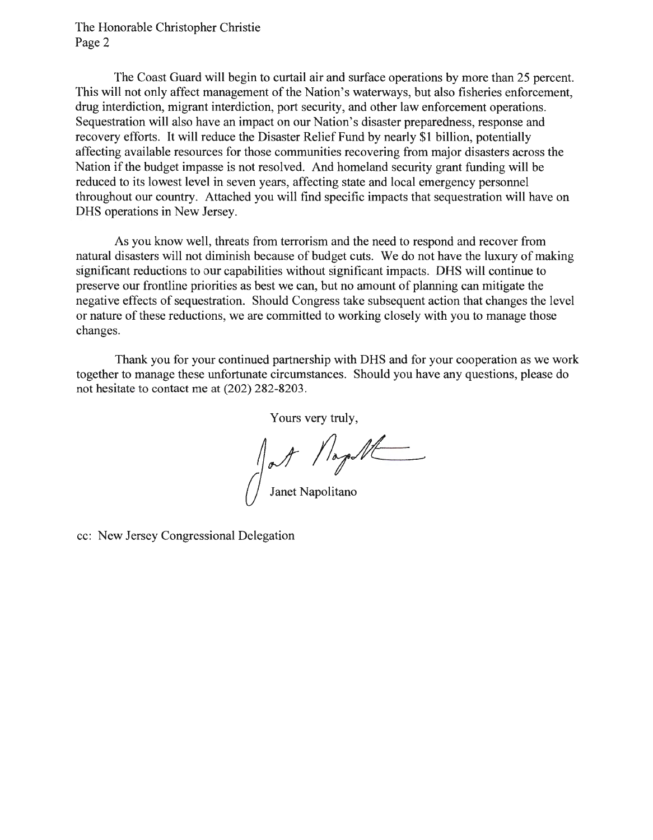The Honorable Christopher Christie Page 2

The Coast Guard will begin to curtail air and surface operations by more than 25 percent. This will not only affect management of the Nation's waterways, but also fisheries enforcement, drug interdiction, migrant interdiction, port security, and other law enforcement operations. Sequestration will also have an impact on our Nation's disaster preparedness, response and recovery efforts. It will reduce the Disaster Relief Fund by nearly \$1 billion, potentially affecting available resources for those communities recovering from major disasters across the Nation if the budget impasse is not resolved. And homeland security grant funding will be reduced to its lowest level in seven years, affecting state and local emergency personnel throughout our country. Attached you will find specific impacts that sequestration will have on DHS operations in New Jersey.

As you know well, threats from terrorism and the need to respond and recover from natural disasters will not diminish because of budget cuts. We do not have the luxury of making significant reductions to our capabilities without significant impacts. DHS will continue to preserve our frontline priorities as best we can, but no amount of planning can mitigate the negative effects of sequestration. Should Congress take subsequent action that changes the level or nature of these reductions, we are committed to working closely with you to manage those changes.

Thank you for your continued partnership with DHS and for your cooperation as we work together to manage these unfortunate circumstances. Should you have any questions, please do not hesitate to contact me at (202) 282-8203.

Yours very truly,

Jost Napoll

cc: New Jersey Congressional Delegation